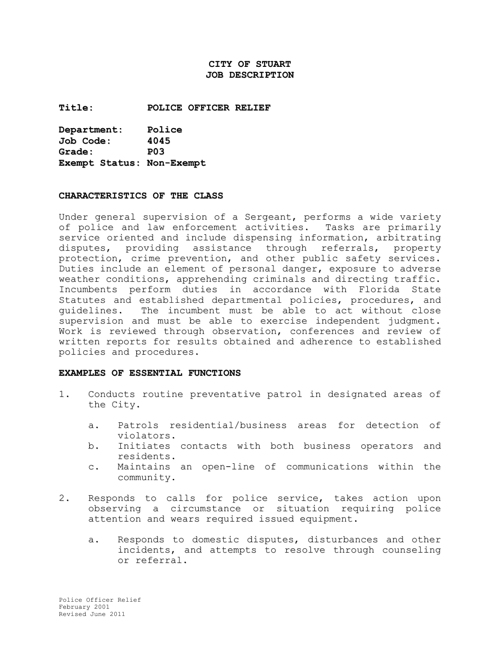# **CITY OF STUART JOB DESCRIPTION**

**Title: POLICE OFFICER RELIEF**

**Department: Police Job Code: 4045 Grade: P03 Exempt Status: Non-Exempt**

#### **CHARACTERISTICS OF THE CLASS**

Under general supervision of a Sergeant, performs a wide variety of police and law enforcement activities. Tasks are primarily service oriented and include dispensing information, arbitrating disputes, providing assistance through referrals, property protection, crime prevention, and other public safety services. Duties include an element of personal danger, exposure to adverse weather conditions, apprehending criminals and directing traffic. Incumbents perform duties in accordance with Florida State Statutes and established departmental policies, procedures, and guidelines. The incumbent must be able to act without close supervision and must be able to exercise independent judgment. Work is reviewed through observation, conferences and review of written reports for results obtained and adherence to established policies and procedures.

#### **EXAMPLES OF ESSENTIAL FUNCTIONS**

- 1. Conducts routine preventative patrol in designated areas of the City.
	- a. Patrols residential/business areas for detection of violators.
	- b. Initiates contacts with both business operators and residents.
	- c. Maintains an open-line of communications within the community.
- 2. Responds to calls for police service, takes action upon observing a circumstance or situation requiring police attention and wears required issued equipment.
	- a. Responds to domestic disputes, disturbances and other incidents, and attempts to resolve through counseling or referral.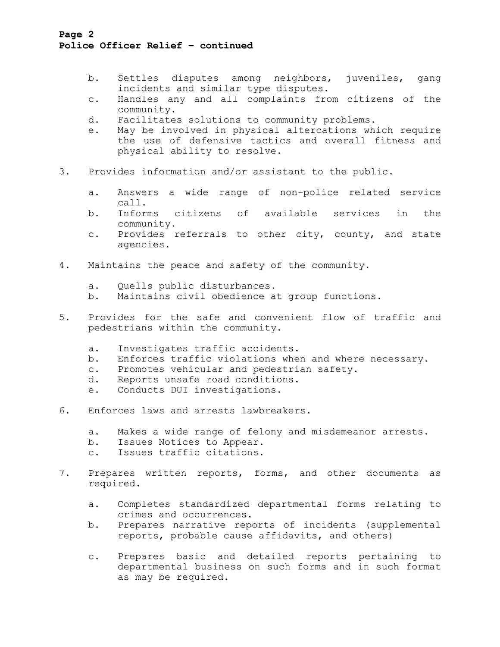# **Page 2 Police Officer Relief – continued**

- b. Settles disputes among neighbors, juveniles, gang incidents and similar type disputes.
- c. Handles any and all complaints from citizens of the community.
- d. Facilitates solutions to community problems.
- e. May be involved in physical altercations which require the use of defensive tactics and overall fitness and physical ability to resolve.
- 3. Provides information and/or assistant to the public.
	- a. Answers a wide range of non-police related service call.
	- b. Informs citizens of available services in the community.
	- c. Provides referrals to other city, county, and state agencies.
- 4. Maintains the peace and safety of the community.
	- a. Quells public disturbances.
	- b. Maintains civil obedience at group functions.
- 5. Provides for the safe and convenient flow of traffic and pedestrians within the community.
	- a. Investigates traffic accidents.
	- b. Enforces traffic violations when and where necessary.
	- c. Promotes vehicular and pedestrian safety.
	- d. Reports unsafe road conditions.
	- e. Conducts DUI investigations.
- 6. Enforces laws and arrests lawbreakers.
	- a. Makes a wide range of felony and misdemeanor arrests.
	- b. Issues Notices to Appear.
	- c. Issues traffic citations.
- 7. Prepares written reports, forms, and other documents as required.
	- a. Completes standardized departmental forms relating to crimes and occurrences.
	- b. Prepares narrative reports of incidents (supplemental reports, probable cause affidavits, and others)
	- c. Prepares basic and detailed reports pertaining to departmental business on such forms and in such format as may be required.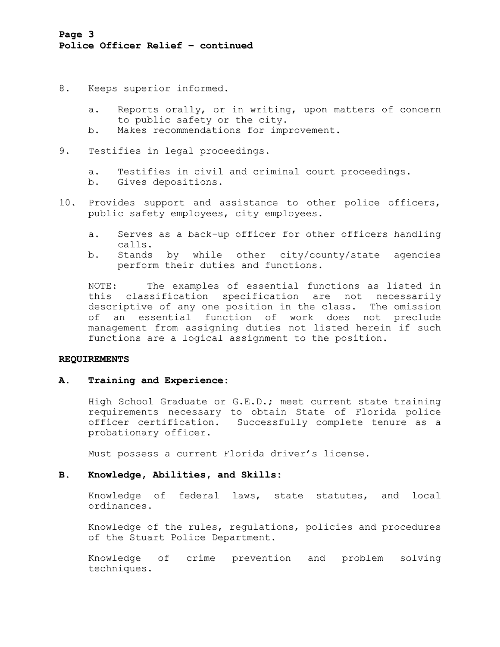- 8. Keeps superior informed.
	- a. Reports orally, or in writing, upon matters of concern to public safety or the city.
	- b. Makes recommendations for improvement.
- 9. Testifies in legal proceedings.
	- a. Testifies in civil and criminal court proceedings.
	- b. Gives depositions.
- 10. Provides support and assistance to other police officers, public safety employees, city employees.
	- a. Serves as a back-up officer for other officers handling calls.
	- b. Stands by while other city/county/state agencies perform their duties and functions.

NOTE: The examples of essential functions as listed in this classification specification are not necessarily descriptive of any one position in the class. The omission of an essential function of work does not preclude management from assigning duties not listed herein if such functions are a logical assignment to the position.

#### **REQUIREMENTS**

#### **A. Training and Experience:**

High School Graduate or G.E.D.; meet current state training requirements necessary to obtain State of Florida police officer certification. Successfully complete tenure as a probationary officer.

Must possess a current Florida driver's license.

### **B. Knowledge, Abilities, and Skills:**

Knowledge of federal laws, state statutes, and local ordinances.

Knowledge of the rules, regulations, policies and procedures of the Stuart Police Department.

Knowledge of crime prevention and problem solving techniques.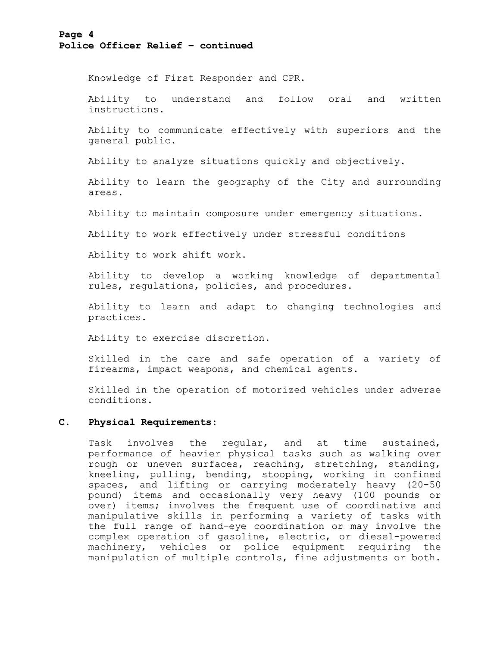### **Page 4 Police Officer Relief – continued**

Knowledge of First Responder and CPR.

Ability to understand and follow oral and written instructions.

Ability to communicate effectively with superiors and the general public.

Ability to analyze situations quickly and objectively.

Ability to learn the geography of the City and surrounding areas.

Ability to maintain composure under emergency situations.

Ability to work effectively under stressful conditions

Ability to work shift work.

Ability to develop a working knowledge of departmental rules, regulations, policies, and procedures.

Ability to learn and adapt to changing technologies and practices.

Ability to exercise discretion.

Skilled in the care and safe operation of a variety of firearms, impact weapons, and chemical agents.

Skilled in the operation of motorized vehicles under adverse conditions.

# **C. Physical Requirements:**

Task involves the regular, and at time sustained, performance of heavier physical tasks such as walking over rough or uneven surfaces, reaching, stretching, standing, kneeling, pulling, bending, stooping, working in confined spaces, and lifting or carrying moderately heavy (20-50 pound) items and occasionally very heavy (100 pounds or over) items; involves the frequent use of coordinative and manipulative skills in performing a variety of tasks with the full range of hand-eye coordination or may involve the complex operation of gasoline, electric, or diesel-powered machinery, vehicles or police equipment requiring the manipulation of multiple controls, fine adjustments or both.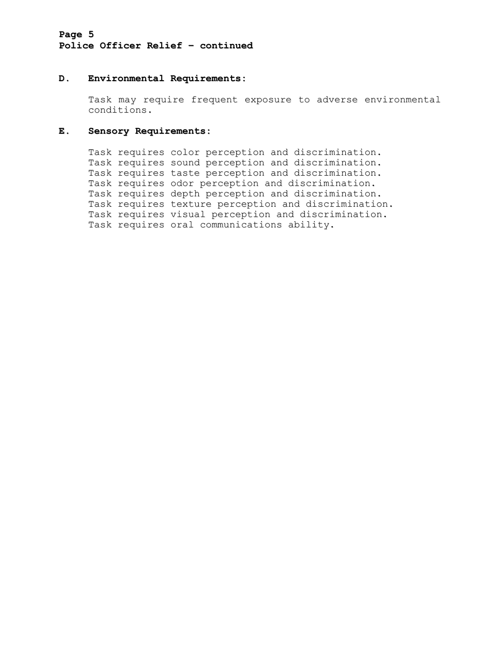# **Page 5 Police Officer Relief – continued**

### **D. Environmental Requirements:**

Task may require frequent exposure to adverse environmental conditions.

### **E. Sensory Requirements:**

Task requires color perception and discrimination. Task requires sound perception and discrimination. Task requires taste perception and discrimination. Task requires odor perception and discrimination. Task requires depth perception and discrimination. Task requires texture perception and discrimination. Task requires visual perception and discrimination. Task requires oral communications ability.